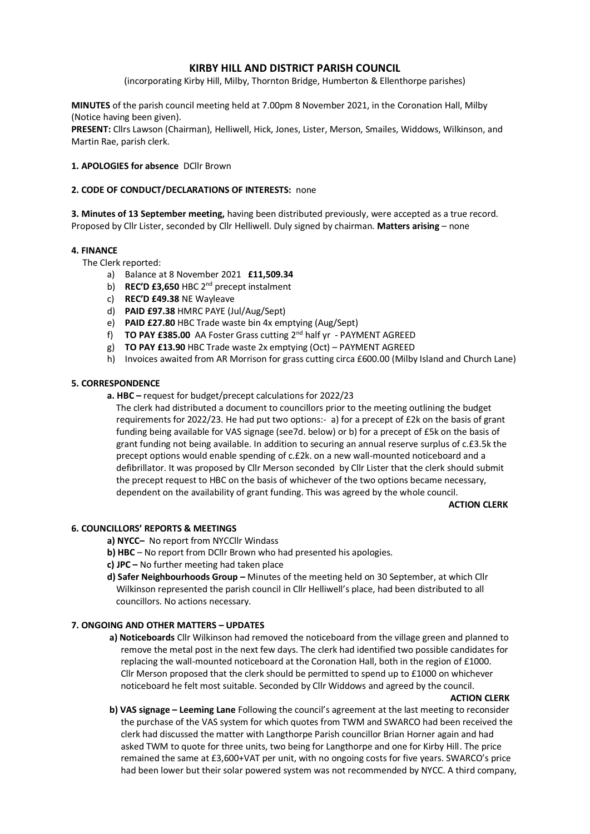# **KIRBY HILL AND DISTRICT PARISH COUNCIL**

(incorporating Kirby Hill, Milby, Thornton Bridge, Humberton & Ellenthorpe parishes)

**MINUTES** of the parish council meeting held at 7.00pm 8 November 2021, in the Coronation Hall, Milby (Notice having been given).

**PRESENT:** Cllrs Lawson (Chairman), Helliwell, Hick, Jones, Lister, Merson, Smailes, Widdows, Wilkinson, and Martin Rae, parish clerk.

# **1. APOLOGIES for absence** DCllr Brown

# **2. CODE OF CONDUCT/DECLARATIONS OF INTERESTS:** none

**3. Minutes of 13 September meeting,** having been distributed previously, were accepted as a true record. Proposed by Cllr Lister, seconded by Cllr Helliwell. Duly signed by chairman. **Matters arising** – none

# **4. FINANCE**

The Clerk reported:

- a) Balance at 8 November 2021 **£11,509.34**
- b) **REC'D £3,650** HBC 2<sup>nd</sup> precept instalment
- c) **REC'D £49.38** NE Wayleave
- d) **PAID £97.38** HMRC PAYE (Jul/Aug/Sept)
- e) **PAID £27.80** HBC Trade waste bin 4x emptying (Aug/Sept)
- f) **TO PAY £385.00** AA Foster Grass cutting 2nd half yr PAYMENT AGREED
- g) **TO PAY £13.90** HBC Trade waste 2x emptying (Oct) PAYMENT AGREED
- h) Invoices awaited from AR Morrison for grass cutting circa £600.00 (Milby Island and Church Lane)

# **5. CORRESPONDENCE**

**a. HBC –** request for budget/precept calculations for 2022/23

 The clerk had distributed a document to councillors prior to the meeting outlining the budget requirements for 2022/23. He had put two options:- a) for a precept of £2k on the basis of grant funding being available for VAS signage (see7d. below) or b) for a precept of £5k on the basis of grant funding not being available. In addition to securing an annual reserve surplus of c.£3.5k the precept options would enable spending of c.£2k. on a new wall-mounted noticeboard and a defibrillator. It was proposed by Cllr Merson seconded by Cllr Lister that the clerk should submit the precept request to HBC on the basis of whichever of the two options became necessary, dependent on the availability of grant funding. This was agreed by the whole council.

#### **ACTION CLERK**

# **6. COUNCILLORS' REPORTS & MEETINGS**

**a) NYCC–** No report from NYCCllr Windass

- **b) HBC** No report from DCllr Brown who had presented his apologies.
- **c) JPC –** No further meeting had taken place
- **d) Safer Neighbourhoods Group –** Minutes of the meeting held on 30 September, at which Cllr Wilkinson represented the parish council in Cllr Helliwell's place, had been distributed to all councillors. No actions necessary.

# **7. ONGOING AND OTHER MATTERS – UPDATES**

**a) Noticeboards** Cllr Wilkinson had removed the noticeboard from the village green and planned to remove the metal post in the next few days. The clerk had identified two possible candidates for replacing the wall-mounted noticeboard at the Coronation Hall, both in the region of £1000. Cllr Merson proposed that the clerk should be permitted to spend up to £1000 on whichever noticeboard he felt most suitable. Seconded by Cllr Widdows and agreed by the council.

#### **ACTION CLERK**

 **b) VAS signage – Leeming Lane** Following the council's agreement at the last meeting to reconsider the purchase of the VAS system for which quotes from TWM and SWARCO had been received the clerk had discussed the matter with Langthorpe Parish councillor Brian Horner again and had asked TWM to quote for three units, two being for Langthorpe and one for Kirby Hill. The price remained the same at £3,600+VAT per unit, with no ongoing costs for five years. SWARCO's price had been lower but their solar powered system was not recommended by NYCC. A third company,